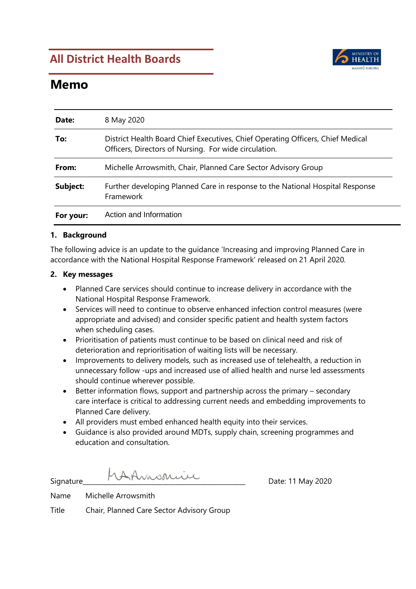### **All District Health Boards**



### **Memo**

| Date:     | 8 May 2020                                                                                                                               |
|-----------|------------------------------------------------------------------------------------------------------------------------------------------|
| To:       | District Health Board Chief Executives, Chief Operating Officers, Chief Medical<br>Officers, Directors of Nursing. For wide circulation. |
| From:     | Michelle Arrowsmith, Chair, Planned Care Sector Advisory Group                                                                           |
| Subject:  | Further developing Planned Care in response to the National Hospital Response<br>Framework                                               |
| For your: | Action and Information                                                                                                                   |

#### **1. Background**

The following advice is an update to the guidance 'Increasing and improving Planned Care in accordance with the National Hospital Response Framework' released on 21 April 2020.

#### **2. Key messages**

- Planned Care services should continue to increase delivery in accordance with the National Hospital Response Framework.
- Services will need to continue to observe enhanced infection control measures (were appropriate and advised) and consider specific patient and health system factors when scheduling cases.
- Prioritisation of patients must continue to be based on clinical need and risk of deterioration and reprioritisation of waiting lists will be necessary.
- Improvements to delivery models, such as increased use of telehealth, a reduction in unnecessary follow -ups and increased use of allied health and nurse led assessments should continue wherever possible.
- Better information flows, support and partnership across the primary secondary care interface is critical to addressing current needs and embedding improvements to Planned Care delivery.
- All providers must embed enhanced health equity into their services.
- Guidance is also provided around MDTs, supply chain, screening programmes and education and consultation.

 $Signature$   $MA\nu\omega\Omega\cup\Omega$   $Date: 11 May 2020$ 

Name Michelle Arrowsmith

Title Chair, Planned Care Sector Advisory Group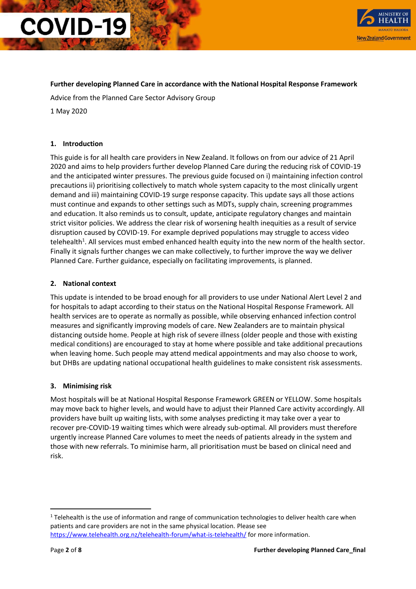

#### **Further developing Planned Care in accordance with the National Hospital Response Framework**

Advice from the Planned Care Sector Advisory Group

1 May 2020

#### **1. Introduction**

This guide is for all health care providers in New Zealand. It follows on from our advice of 21 April 2020 and aims to help providers further develop Planned Care during the reducing risk of COVID-19 and the anticipated winter pressures. The previous guide focused on i) maintaining infection control precautions ii) prioritising collectively to match whole system capacity to the most clinically urgent demand and iii) maintaining COVID-19 surge response capacity. This update says all those actions must continue and expands to other settings such as MDTs, supply chain, screening programmes and education. It also reminds us to consult, update, anticipate regulatory changes and maintain strict visitor policies. We address the clear risk of worsening health inequities as a result of service disruption caused by COVID-19. For example deprived populations may struggle to access video telehealth $^1$ . All services must embed enhanced health equity into the new norm of the health sector. Finally it signals further changes we can make collectively, to further improve the way we deliver Planned Care. Further guidance, especially on facilitating improvements, is planned.

#### **2. National context**

This update is intended to be broad enough for all providers to use under National Alert Level 2 and for hospitals to adapt according to their status on the National Hospital Response Framework. All health services are to operate as normally as possible, while observing enhanced infection control measures and significantly improving models of care. New Zealanders are to maintain physical distancing outside home. People at high risk of severe illness (older people and those with existing medical conditions) are encouraged to stay at home where possible and take additional precautions when leaving home. Such people may attend medical appointments and may also choose to work, but DHBs are updating national occupational health guidelines to make consistent risk assessments.

#### **3. Minimising risk**

Most hospitals will be at National Hospital Response Framework GREEN or YELLOW. Some hospitals may move back to higher levels, and would have to adjust their Planned Care activity accordingly. All providers have built up waiting lists, with some analyses predicting it may take over a year to recover pre-COVID-19 waiting times which were already sub-optimal. All providers must therefore urgently increase Planned Care volumes to meet the needs of patients already in the system and those with new referrals. To minimise harm, all prioritisation must be based on clinical need and risk.

 $\overline{a}$ 

<sup>&</sup>lt;sup>1</sup> Telehealth is the use of information and range of communication technologies to deliver health care when patients and care providers are not in the same physical location. Please see <https://www.telehealth.org.nz/telehealth-forum/what-is-telehealth/> for more information.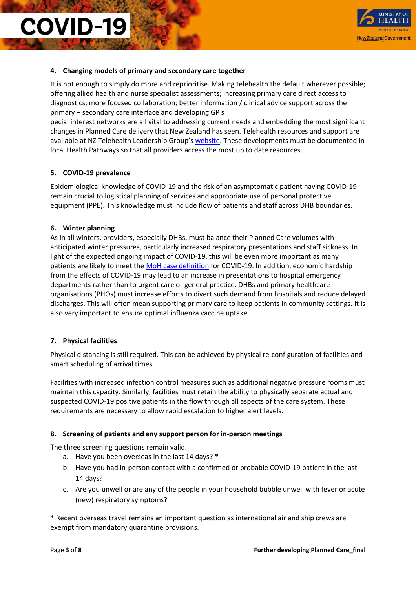

#### **4. Changing models of primary and secondary care together**

It is not enough to simply do more and reprioritise. Making telehealth the default wherever possible; offering allied health and nurse specialist assessments; increasing primary care direct access to diagnostics; more focused collaboration; better information / clinical advice support across the primary – secondary care interface and developing GP s

pecial interest networks are all vital to addressing current needs and embedding the most significant changes in Planned Care delivery that New Zealand has seen. Telehealth resources and support are available at NZ Telehealth Leadership Group's [website.](https://www.telehealth.org.nz/) These developments must be documented in local Health Pathways so that all providers access the most up to date resources.

#### **5. COVID-19 prevalence**

Epidemiological knowledge of COVID-19 and the risk of an asymptomatic patient having COVID-19 remain crucial to logistical planning of services and appropriate use of personal protective equipment (PPE). This knowledge must include flow of patients and staff across DHB boundaries.

#### **6. Winter planning**

As in all winters, providers, especially DHBs, must balance their Planned Care volumes with anticipated winter pressures, particularly increased respiratory presentations and staff sickness. In light of the expected ongoing impact of COVID-19, this will be even more important as many patients are likely to meet the [MoH case definition](https://www.health.govt.nz/our-work/diseases-and-conditions/covid-19-novel-coronavirus/covid-19-resources-health-professionals/case-definition-covid-19-infection) for COVID-19. In addition, economic hardship from the effects of COVID-19 may lead to an increase in presentations to hospital emergency departments rather than to urgent care or general practice. DHBs and primary healthcare organisations (PHOs) must increase efforts to divert such demand from hospitals and reduce delayed discharges. This will often mean supporting primary care to keep patients in community settings. It is also very important to ensure optimal influenza vaccine uptake.

#### **7. Physical facilities**

Physical distancing is still required. This can be achieved by physical re-configuration of facilities and smart scheduling of arrival times.

Facilities with increased infection control measures such as additional negative pressure rooms must maintain this capacity. Similarly, facilities must retain the ability to physically separate actual and suspected COVID-19 positive patients in the flow through all aspects of the care system. These requirements are necessary to allow rapid escalation to higher alert levels.

#### **8. Screening of patients and any support person for in-person meetings**

The three screening questions remain valid.

- a. Have you been overseas in the last 14 days? \*
- b. Have you had in-person contact with a confirmed or probable COVID-19 patient in the last 14 days?
- c. Are you unwell or are any of the people in your household bubble unwell with fever or acute (new) respiratory symptoms?

\* Recent overseas travel remains an important question as international air and ship crews are exempt from mandatory quarantine provisions.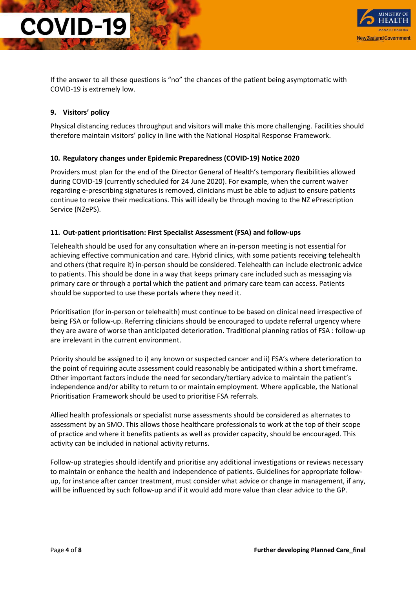

If the answer to all these questions is "no" the chances of the patient being asymptomatic with COVID-19 is extremely low.

#### **9. Visitors' policy**

Physical distancing reduces throughput and visitors will make this more challenging. Facilities should therefore maintain visitors' policy in line with the National Hospital Response Framework.

#### **10. Regulatory changes under Epidemic Preparedness (COVID-19) Notice 2020**

Providers must plan for the end of the Director General of Health's temporary flexibilities allowed during COVID-19 (currently scheduled for 24 June 2020). For example, when the current waiver regarding e-prescribing signatures is removed, clinicians must be able to adjust to ensure patients continue to receive their medications. This will ideally be through moving to the NZ ePrescription Service (NZePS).

#### **11. Out-patient prioritisation: First Specialist Assessment (FSA) and follow-ups**

Telehealth should be used for any consultation where an in-person meeting is not essential for achieving effective communication and care. Hybrid clinics, with some patients receiving telehealth and others (that require it) in-person should be considered. Telehealth can include electronic advice to patients. This should be done in a way that keeps primary care included such as messaging via primary care or through a portal which the patient and primary care team can access. Patients should be supported to use these portals where they need it.

Prioritisation (for in-person or telehealth) must continue to be based on clinical need irrespective of being FSA or follow-up. Referring clinicians should be encouraged to update referral urgency where they are aware of worse than anticipated deterioration. Traditional planning ratios of FSA : follow-up are irrelevant in the current environment.

Priority should be assigned to i) any known or suspected cancer and ii) FSA's where deterioration to the point of requiring acute assessment could reasonably be anticipated within a short timeframe. Other important factors include the need for secondary/tertiary advice to maintain the patient's independence and/or ability to return to or maintain employment. Where applicable, the National Prioritisation Framework should be used to prioritise FSA referrals.

Allied health professionals or specialist nurse assessments should be considered as alternates to assessment by an SMO. This allows those healthcare professionals to work at the top of their scope of practice and where it benefits patients as well as provider capacity, should be encouraged. This activity can be included in national activity returns.

Follow-up strategies should identify and prioritise any additional investigations or reviews necessary to maintain or enhance the health and independence of patients. Guidelines for appropriate followup, for instance after cancer treatment, must consider what advice or change in management, if any, will be influenced by such follow-up and if it would add more value than clear advice to the GP.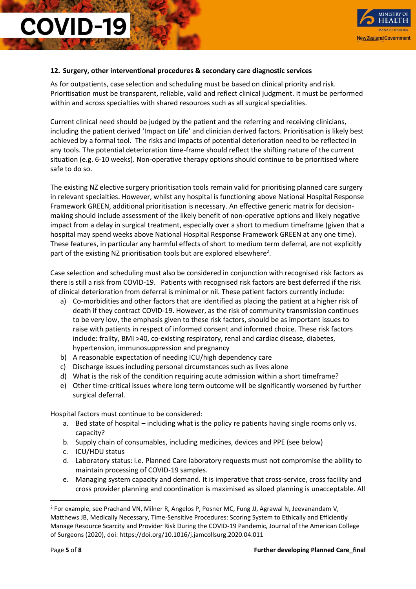

#### **12. Surgery, other interventional procedures & secondary care diagnostic services**

As for outpatients, case selection and scheduling must be based on clinical priority and risk. Prioritisation must be transparent, reliable, valid and reflect clinical judgment. It must be performed within and across specialties with shared resources such as all surgical specialities.

Current clinical need should be judged by the patient and the referring and receiving clinicians, including the patient derived 'Impact on Life' and clinician derived factors. Prioritisation is likely best achieved by a formal tool. The risks and impacts of potential deterioration need to be reflected in any tools. The potential deterioration time-frame should reflect the shifting nature of the current situation (e.g. 6-10 weeks). Non-operative therapy options should continue to be prioritised where safe to do so.

The existing NZ elective surgery prioritisation tools remain valid for prioritising planned care surgery in relevant specialties. However, whilst any hospital is functioning above National Hospital Response Framework GREEN, additional prioritisation is necessary. An effective generic matrix for decisionmaking should include assessment of the likely benefit of non-operative options and likely negative impact from a delay in surgical treatment, especially over a short to medium timeframe (given that a hospital may spend weeks above National Hospital Response Framework GREEN at any one time). These features, in particular any harmful effects of short to medium term deferral, are not explicitly part of the existing NZ prioritisation tools but are explored elsewhere<sup>2</sup>.

Case selection and scheduling must also be considered in conjunction with recognised risk factors as there is still a risk from COVID-19. Patients with recognised risk factors are best deferred if the risk of clinical deterioration from deferral is minimal or nil. These patient factors currently include:

- a) Co-morbidities and other factors that are identified as placing the patient at a higher risk of death if they contract COVID-19. However, as the risk of community transmission continues to be very low, the emphasis given to these risk factors, should be as important issues to raise with patients in respect of informed consent and informed choice. These risk factors include: frailty, BMI >40, co-existing respiratory, renal and cardiac disease, diabetes, hypertension, immunosuppression and pregnancy
- b) A reasonable expectation of needing ICU/high dependency care
- c) Discharge issues including personal circumstances such as lives alone
- d) What is the risk of the condition requiring acute admission within a short timeframe?
- e) Other time-critical issues where long term outcome will be significantly worsened by further surgical deferral.

Hospital factors must continue to be considered:

- a. Bed state of hospital including what is the policy re patients having single rooms only vs. capacity?
- b. Supply chain of consumables, including medicines, devices and PPE (see below)
- c. ICU/HDU status

 $\overline{a}$ 

- d. Laboratory status: i.e. Planned Care laboratory requests must not compromise the ability to maintain processing of COVID-19 samples.
- e. Managing system capacity and demand. It is imperative that cross-service, cross facility and cross provider planning and coordination is maximised as siloed planning is unacceptable. All

<sup>&</sup>lt;sup>2</sup> For example, see Prachand VN, Milner R, Angelos P, Posner MC, Fung JJ, Agrawal N, Jeevanandam V, Matthews JB, Medically Necessary, Time-Sensitive Procedures: Scoring System to Ethically and Efficiently Manage Resource Scarcity and Provider Risk During the COVID-19 Pandemic, Journal of the American College of Surgeons (2020), doi: https://doi.org/10.1016/j.jamcollsurg.2020.04.011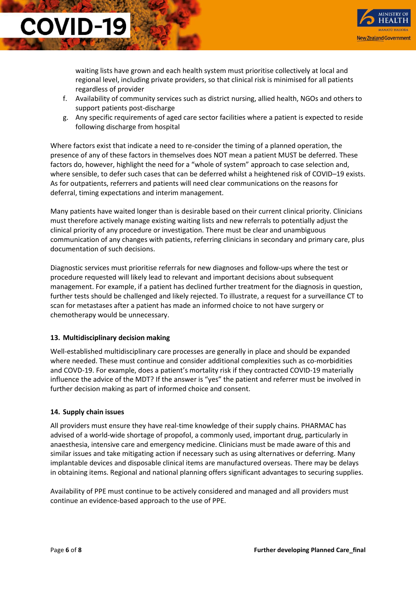

waiting lists have grown and each health system must prioritise collectively at local and regional level, including private providers, so that clinical risk is minimised for all patients regardless of provider

- f. Availability of community services such as district nursing, allied health, NGOs and others to support patients post-discharge
- g. Any specific requirements of aged care sector facilities where a patient is expected to reside following discharge from hospital

Where factors exist that indicate a need to re-consider the timing of a planned operation, the presence of any of these factors in themselves does NOT mean a patient MUST be deferred. These factors do, however, highlight the need for a "whole of system" approach to case selection and, where sensible, to defer such cases that can be deferred whilst a heightened risk of COVID–19 exists. As for outpatients, referrers and patients will need clear communications on the reasons for deferral, timing expectations and interim management.

Many patients have waited longer than is desirable based on their current clinical priority. Clinicians must therefore actively manage existing waiting lists and new referrals to potentially adjust the clinical priority of any procedure or investigation. There must be clear and unambiguous communication of any changes with patients, referring clinicians in secondary and primary care, plus documentation of such decisions.

Diagnostic services must prioritise referrals for new diagnoses and follow-ups where the test or procedure requested will likely lead to relevant and important decisions about subsequent management. For example, if a patient has declined further treatment for the diagnosis in question, further tests should be challenged and likely rejected. To illustrate, a request for a surveillance CT to scan for metastases after a patient has made an informed choice to not have surgery or chemotherapy would be unnecessary.

#### **13. Multidisciplinary decision making**

Well-established multidisciplinary care processes are generally in place and should be expanded where needed. These must continue and consider additional complexities such as co-morbidities and COVD-19. For example, does a patient's mortality risk if they contracted COVID-19 materially influence the advice of the MDT? If the answer is "yes" the patient and referrer must be involved in further decision making as part of informed choice and consent.

#### **14. Supply chain issues**

**COVID-19** 

All providers must ensure they have real-time knowledge of their supply chains. PHARMAC has advised of a world-wide shortage of propofol, a commonly used, important drug, particularly in anaesthesia, intensive care and emergency medicine. Clinicians must be made aware of this and similar issues and take mitigating action if necessary such as using alternatives or deferring. Many implantable devices and disposable clinical items are manufactured overseas. There may be delays in obtaining items. Regional and national planning offers significant advantages to securing supplies.

Availability of PPE must continue to be actively considered and managed and all providers must continue an evidence-based approach to the use of PPE.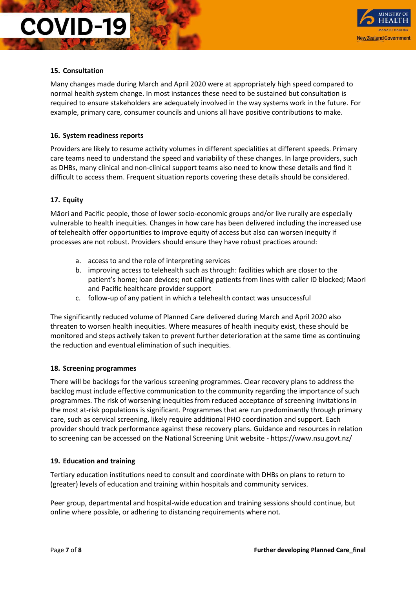

#### **15. Consultation**

Many changes made during March and April 2020 were at appropriately high speed compared to normal health system change. In most instances these need to be sustained but consultation is required to ensure stakeholders are adequately involved in the way systems work in the future. For example, primary care, consumer councils and unions all have positive contributions to make.

#### **16. System readiness reports**

Providers are likely to resume activity volumes in different specialities at different speeds. Primary care teams need to understand the speed and variability of these changes. In large providers, such as DHBs, many clinical and non-clinical support teams also need to know these details and find it difficult to access them. Frequent situation reports covering these details should be considered.

#### **17. Equity**

Māori and Pacific people, those of lower socio-economic groups and/or live rurally are especially vulnerable to health inequities. Changes in how care has been delivered including the increased use of telehealth offer opportunities to improve equity of access but also can worsen inequity if processes are not robust. Providers should ensure they have robust practices around:

- a. access to and the role of interpreting services
- b. improving access to telehealth such as through: facilities which are closer to the patient's home; loan devices; not calling patients from lines with caller ID blocked; Maori and Pacific healthcare provider support
- c. follow-up of any patient in which a telehealth contact was unsuccessful

The significantly reduced volume of Planned Care delivered during March and April 2020 also threaten to worsen health inequities. Where measures of health inequity exist, these should be monitored and steps actively taken to prevent further deterioration at the same time as continuing the reduction and eventual elimination of such inequities.

#### **18. Screening programmes**

There will be backlogs for the various screening programmes. Clear recovery plans to address the backlog must include effective communication to the community regarding the importance of such programmes. The risk of worsening inequities from reduced acceptance of screening invitations in the most at-risk populations is significant. Programmes that are run predominantly through primary care, such as cervical screening, likely require additional PHO coordination and support. Each provider should track performance against these recovery plans. Guidance and resources in relation to screening can be accessed on the National Screening Unit website - https://www.nsu.govt.nz/

#### **19. Education and training**

Tertiary education institutions need to consult and coordinate with DHBs on plans to return to (greater) levels of education and training within hospitals and community services.

Peer group, departmental and hospital-wide education and training sessions should continue, but online where possible, or adhering to distancing requirements where not.